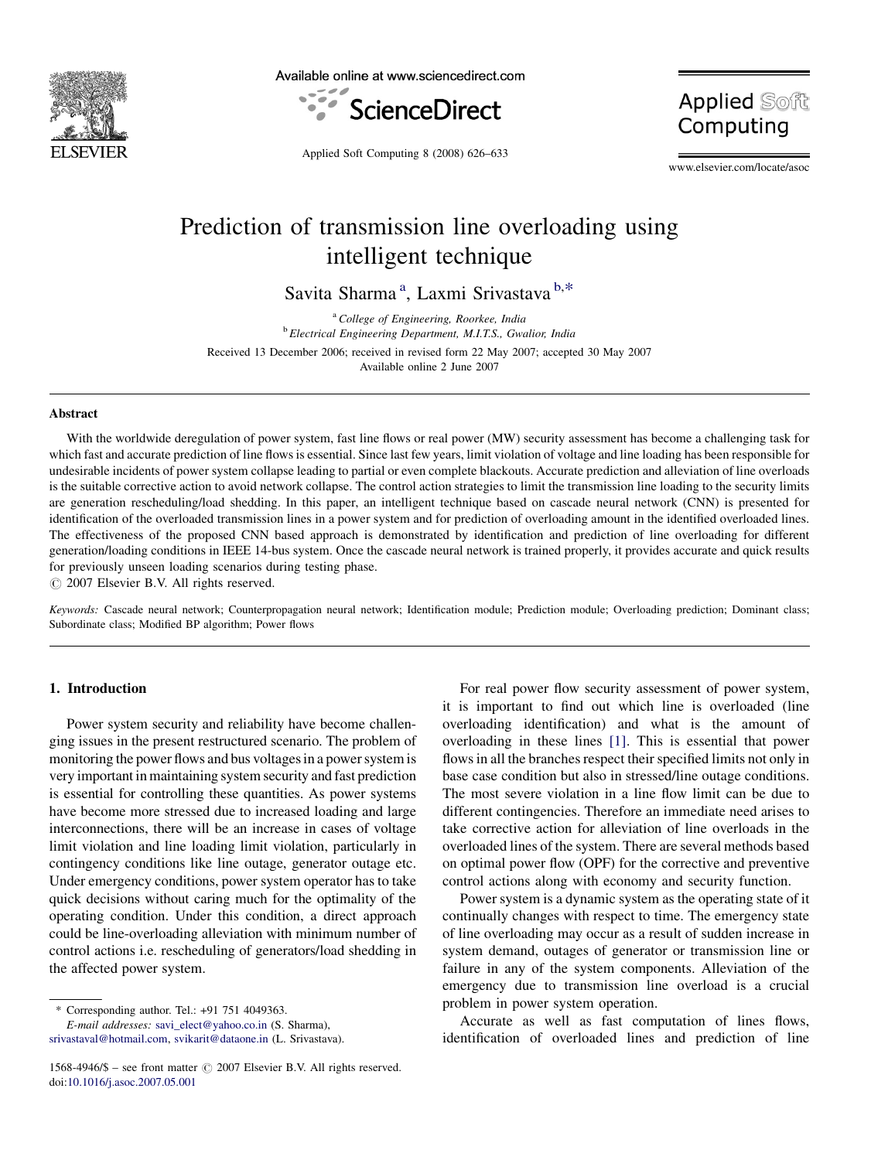

Available online at www.sciencedirect.com



**Applied Soft** Computing

Applied Soft Computing 8 (2008) 626–633

www.elsevier.com/locate/asoc

## Prediction of transmission line overloading using intelligent technique

Savita Sharma<sup>a</sup>, Laxmi Srivastava b,\*

<sup>a</sup> College of Engineering, Roorkee, India <sup>b</sup> Electrical Engineering Department, M.I.T.S., Gwalior, India Received 13 December 2006; received in revised form 22 May 2007; accepted 30 May 2007 Available online 2 June 2007

### Abstract

With the worldwide deregulation of power system, fast line flows or real power (MW) security assessment has become a challenging task for which fast and accurate prediction of line flows is essential. Since last few years, limit violation of voltage and line loading has been responsible for undesirable incidents of power system collapse leading to partial or even complete blackouts. Accurate prediction and alleviation of line overloads is the suitable corrective action to avoid network collapse. The control action strategies to limit the transmission line loading to the security limits are generation rescheduling/load shedding. In this paper, an intelligent technique based on cascade neural network (CNN) is presented for identification of the overloaded transmission lines in a power system and for prediction of overloading amount in the identified overloaded lines. The effectiveness of the proposed CNN based approach is demonstrated by identification and prediction of line overloading for different generation/loading conditions in IEEE 14-bus system. Once the cascade neural network is trained properly, it provides accurate and quick results for previously unseen loading scenarios during testing phase.

 $\odot$  2007 Elsevier B.V. All rights reserved.

Keywords: Cascade neural network; Counterpropagation neural network; Identification module; Prediction module; Overloading prediction; Dominant class; Subordinate class; Modified BP algorithm; Power flows

## 1. Introduction

Power system security and reliability have become challenging issues in the present restructured scenario. The problem of monitoring the power flows and bus voltages in a power system is very important in maintaining system security and fast prediction is essential for controlling these quantities. As power systems have become more stressed due to increased loading and large interconnections, there will be an increase in cases of voltage limit violation and line loading limit violation, particularly in contingency conditions like line outage, generator outage etc. Under emergency conditions, power system operator has to take quick decisions without caring much for the optimality of the operating condition. Under this condition, a direct approach could be line-overloading alleviation with minimum number of control actions i.e. rescheduling of generators/load shedding in the affected power system.

E-mail addresses: [savi\\_elect@yahoo.co.in](mailto:savi_elect@yahoo.co.in) (S. Sharma), [srivastaval@hotmail.com,](mailto:srivastaval@hotmail.com) [svikarit@dataone.in](mailto:svikarit@dataone.in) (L. Srivastava).

For real power flow security assessment of power system, it is important to find out which line is overloaded (line overloading identification) and what is the amount of overloading in these lines [\[1\]](#page--1-0). This is essential that power flows in all the branches respect their specified limits not only in base case condition but also in stressed/line outage conditions. The most severe violation in a line flow limit can be due to different contingencies. Therefore an immediate need arises to take corrective action for alleviation of line overloads in the overloaded lines of the system. There are several methods based on optimal power flow (OPF) for the corrective and preventive control actions along with economy and security function.

Power system is a dynamic system as the operating state of it continually changes with respect to time. The emergency state of line overloading may occur as a result of sudden increase in system demand, outages of generator or transmission line or failure in any of the system components. Alleviation of the emergency due to transmission line overload is a crucial problem in power system operation.

Accurate as well as fast computation of lines flows, identification of overloaded lines and prediction of line

<sup>\*</sup> Corresponding author. Tel.: +91 751 4049363.

<sup>1568-4946/\$ –</sup> see front matter  $\odot$  2007 Elsevier B.V. All rights reserved. doi[:10.1016/j.asoc.2007.05.001](http://dx.doi.org/10.1016/j.asoc.2007.05.001)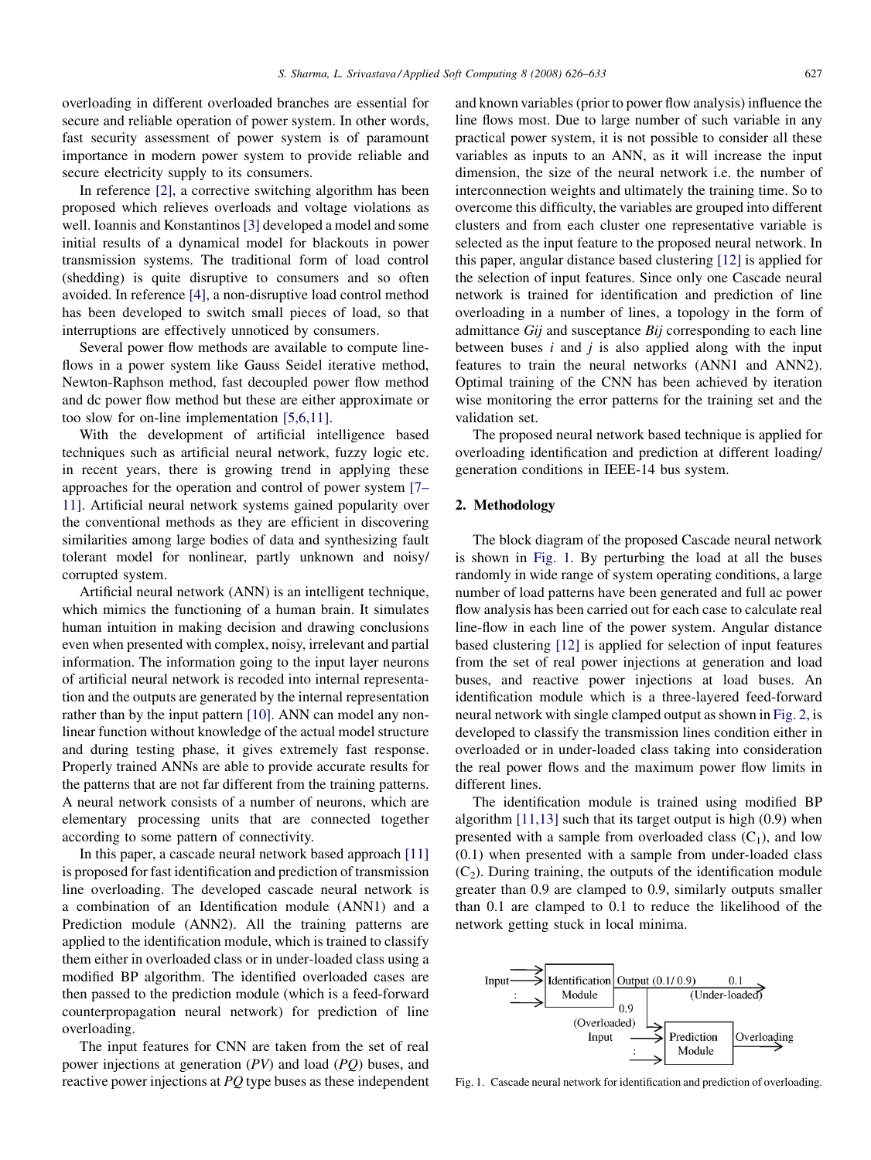overloading in different overloaded branches are essential for secure and reliable operation of power system. In other words, fast security assessment of power system is of paramount importance in modern power system to provide reliable and secure electricity supply to its consumers.

In reference [\[2\],](#page--1-0) a corrective switching algorithm has been proposed which relieves overloads and voltage violations as well. Ioannis and Konstantinos [\[3\]](#page--1-0) developed a model and some initial results of a dynamical model for blackouts in power transmission systems. The traditional form of load control (shedding) is quite disruptive to consumers and so often avoided. In reference [\[4\],](#page--1-0) a non-disruptive load control method has been developed to switch small pieces of load, so that interruptions are effectively unnoticed by consumers.

Several power flow methods are available to compute lineflows in a power system like Gauss Seidel iterative method, Newton-Raphson method, fast decoupled power flow method and dc power flow method but these are either approximate or too slow for on-line implementation [\[5,6,11\]](#page--1-0).

With the development of artificial intelligence based techniques such as artificial neural network, fuzzy logic etc. in recent years, there is growing trend in applying these approaches for the operation and control of power system [\[7–](#page--1-0) [11\].](#page--1-0) Artificial neural network systems gained popularity over the conventional methods as they are efficient in discovering similarities among large bodies of data and synthesizing fault tolerant model for nonlinear, partly unknown and noisy/ corrupted system.

Artificial neural network (ANN) is an intelligent technique, which mimics the functioning of a human brain. It simulates human intuition in making decision and drawing conclusions even when presented with complex, noisy, irrelevant and partial information. The information going to the input layer neurons of artificial neural network is recoded into internal representation and the outputs are generated by the internal representation rather than by the input pattern [\[10\]](#page--1-0). ANN can model any nonlinear function without knowledge of the actual model structure and during testing phase, it gives extremely fast response. Properly trained ANNs are able to provide accurate results for the patterns that are not far different from the training patterns. A neural network consists of a number of neurons, which are elementary processing units that are connected together according to some pattern of connectivity.

In this paper, a cascade neural network based approach [\[11\]](#page--1-0) is proposed for fast identification and prediction of transmission line overloading. The developed cascade neural network is a combination of an Identification module (ANN1) and a Prediction module (ANN2). All the training patterns are applied to the identification module, which is trained to classify them either in overloaded class or in under-loaded class using a modified BP algorithm. The identified overloaded cases are then passed to the prediction module (which is a feed-forward counterpropagation neural network) for prediction of line overloading.

The input features for CNN are taken from the set of real power injections at generation (PV) and load (PQ) buses, and reactive power injections at PQ type buses as these independent and known variables (prior to power flow analysis) influence the line flows most. Due to large number of such variable in any practical power system, it is not possible to consider all these variables as inputs to an ANN, as it will increase the input dimension, the size of the neural network i.e. the number of interconnection weights and ultimately the training time. So to overcome this difficulty, the variables are grouped into different clusters and from each cluster one representative variable is selected as the input feature to the proposed neural network. In this paper, angular distance based clustering [\[12\]](#page--1-0) is applied for the selection of input features. Since only one Cascade neural network is trained for identification and prediction of line overloading in a number of lines, a topology in the form of admittance Gij and susceptance Bij corresponding to each line between buses  $i$  and  $j$  is also applied along with the input features to train the neural networks (ANN1 and ANN2). Optimal training of the CNN has been achieved by iteration wise monitoring the error patterns for the training set and the validation set.

The proposed neural network based technique is applied for overloading identification and prediction at different loading/ generation conditions in IEEE-14 bus system.

#### 2. Methodology

The block diagram of the proposed Cascade neural network is shown in Fig. 1. By perturbing the load at all the buses randomly in wide range of system operating conditions, a large number of load patterns have been generated and full ac power flow analysis has been carried out for each case to calculate real line-flow in each line of the power system. Angular distance based clustering [\[12\]](#page--1-0) is applied for selection of input features from the set of real power injections at generation and load buses, and reactive power injections at load buses. An identification module which is a three-layered feed-forward neural network with single clamped output as shown in [Fig. 2,](#page--1-0) is developed to classify the transmission lines condition either in overloaded or in under-loaded class taking into consideration the real power flows and the maximum power flow limits in different lines.

The identification module is trained using modified BP algorithm [\[11,13\]](#page--1-0) such that its target output is high (0.9) when presented with a sample from overloaded class  $(C_1)$ , and low (0.1) when presented with a sample from under-loaded class  $(C_2)$ . During training, the outputs of the identification module greater than 0.9 are clamped to 0.9, similarly outputs smaller than 0.1 are clamped to 0.1 to reduce the likelihood of the network getting stuck in local minima.



Fig. 1. Cascade neural network for identification and prediction of overloading.